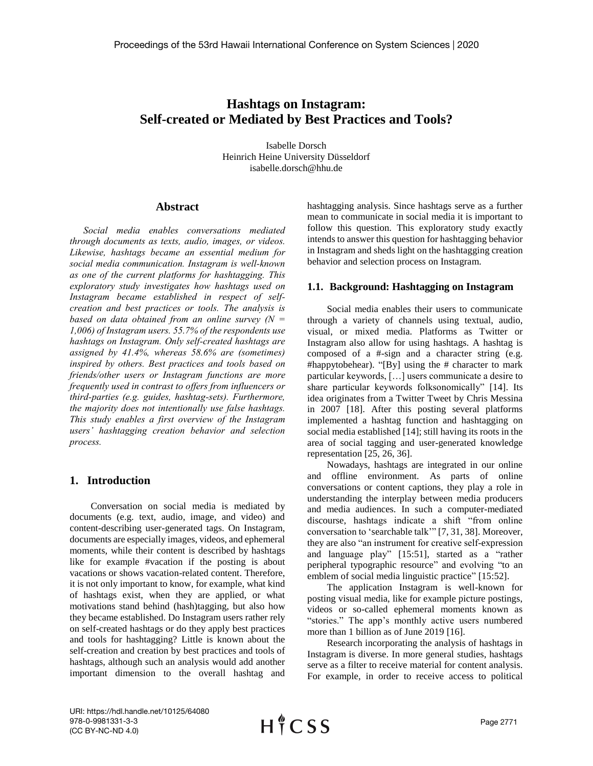## **Hashtags on Instagram: Self-created or Mediated by Best Practices and Tools?**

Isabelle Dorsch Heinrich Heine University Düsseldorf isabelle.dorsch@hhu.de

## **Abstract**

*Social media enables conversations mediated through documents as texts, audio, images, or videos. Likewise, hashtags became an essential medium for social media communication. Instagram is well-known as one of the current platforms for hashtagging. This exploratory study investigates how hashtags used on Instagram became established in respect of selfcreation and best practices or tools. The analysis is based on data obtained from an online survey (N = 1,006) of Instagram users. 55.7% of the respondents use hashtags on Instagram. Only self-created hashtags are assigned by 41.4%, whereas 58.6% are (sometimes) inspired by others. Best practices and tools based on friends/other users or Instagram functions are more frequently used in contrast to offers from influencers or third-parties (e.g. guides, hashtag-sets). Furthermore, the majority does not intentionally use false hashtags. This study enables a first overview of the Instagram users' hashtagging creation behavior and selection process.*

## **1. Introduction**

 Conversation on social media is mediated by documents (e.g. text, audio, image, and video) and content-describing user-generated tags. On Instagram, documents are especially images, videos, and ephemeral moments, while their content is described by hashtags like for example #vacation if the posting is about vacations or shows vacation-related content. Therefore, it is not only important to know, for example, what kind of hashtags exist, when they are applied, or what motivations stand behind (hash)tagging, but also how they became established. Do Instagram users rather rely on self-created hashtags or do they apply best practices and tools for hashtagging? Little is known about the self-creation and creation by best practices and tools of hashtags, although such an analysis would add another important dimension to the overall hashtag and hashtagging analysis. Since hashtags serve as a further mean to communicate in social media it is important to follow this question. This exploratory study exactly intends to answer this question for hashtagging behavior in Instagram and sheds light on the hashtagging creation behavior and selection process on Instagram.

#### **1.1. Background: Hashtagging on Instagram**

Social media enables their users to communicate through a variety of channels using textual, audio, visual, or mixed media. Platforms as Twitter or Instagram also allow for using hashtags. A hashtag is composed of a #-sign and a character string (e.g. #happytobehear). "[By] using the # character to mark particular keywords, […] users communicate a desire to share particular keywords folksonomically" [14]. Its idea originates from a Twitter Tweet by Chris Messina in 2007 [18]. After this posting several platforms implemented a hashtag function and hashtagging on social media established [14]; still having its roots in the area of social tagging and user-generated knowledge representation [25, 26, 36].

Nowadays, hashtags are integrated in our online and offline environment. As parts of online conversations or content captions, they play a role in understanding the interplay between media producers and media audiences. In such a computer-mediated discourse, hashtags indicate a shift "from online conversation to 'searchable talk'" [7, 31, 38]. Moreover, they are also "an instrument for creative self-expression and language play" [15:51], started as a "rather peripheral typographic resource" and evolving "to an emblem of social media linguistic practice" [15:52].

The application Instagram is well-known for posting visual media, like for example picture postings, videos or so-called ephemeral moments known as "stories." The app's monthly active users numbered more than 1 billion as of June 2019 [16].

Research incorporating the analysis of hashtags in Instagram is diverse. In more general studies, hashtags serve as a filter to receive material for content analysis. For example, in order to receive access to political

URI: https://hdl.handle.net/10125/64080 978-0-9981331-3-3 (CC BY-NC-ND 4.0)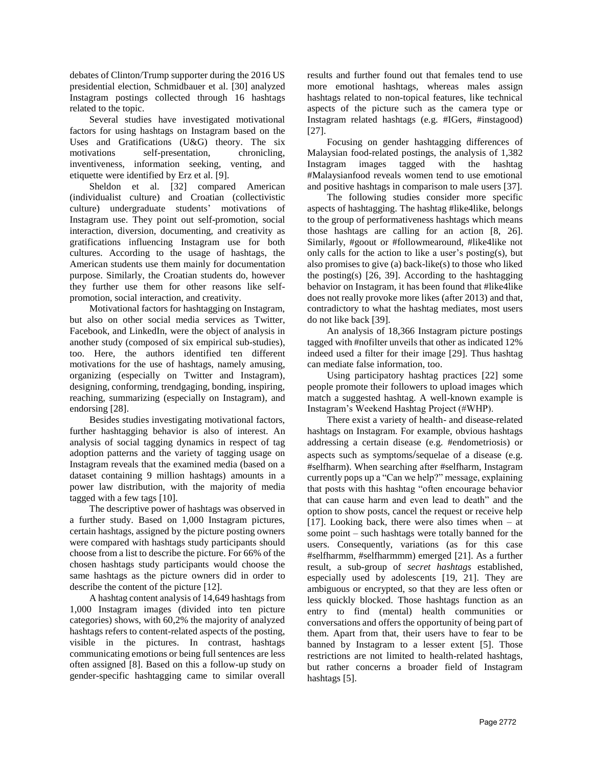debates of Clinton/Trump supporter during the 2016 US presidential election, Schmidbauer et al. [30] analyzed Instagram postings collected through 16 hashtags related to the topic.

Several studies have investigated motivational factors for using hashtags on Instagram based on the Uses and Gratifications (U&G) theory. The six motivations self-presentation, chronicling, inventiveness, information seeking, venting, and etiquette were identified by Erz et al. [9].

Sheldon et al. [32] compared American (individualist culture) and Croatian (collectivistic culture) undergraduate students' motivations of Instagram use. They point out self-promotion, social interaction, diversion, documenting, and creativity as gratifications influencing Instagram use for both cultures. According to the usage of hashtags, the American students use them mainly for documentation purpose. Similarly, the Croatian students do, however they further use them for other reasons like selfpromotion, social interaction, and creativity.

Motivational factors for hashtagging on Instagram, but also on other social media services as Twitter, Facebook, and LinkedIn, were the object of analysis in another study (composed of six empirical sub-studies), too. Here, the authors identified ten different motivations for the use of hashtags, namely amusing, organizing (especially on Twitter and Instagram), designing, conforming, trendgaging, bonding, inspiring, reaching, summarizing (especially on Instagram), and endorsing [28].

Besides studies investigating motivational factors, further hashtagging behavior is also of interest. An analysis of social tagging dynamics in respect of tag adoption patterns and the variety of tagging usage on Instagram reveals that the examined media (based on a dataset containing 9 million hashtags) amounts in a power law distribution, with the majority of media tagged with a few tags [10].

The descriptive power of hashtags was observed in a further study. Based on 1,000 Instagram pictures, certain hashtags, assigned by the picture posting owners were compared with hashtags study participants should choose from a list to describe the picture. For 66% of the chosen hashtags study participants would choose the same hashtags as the picture owners did in order to describe the content of the picture [12].

A hashtag content analysis of 14,649 hashtags from 1,000 Instagram images (divided into ten picture categories) shows, with 60,2% the majority of analyzed hashtags refers to content-related aspects of the posting, visible in the pictures. In contrast, hashtags communicating emotions or being full sentences are less often assigned [8]. Based on this a follow-up study on gender-specific hashtagging came to similar overall

results and further found out that females tend to use more emotional hashtags, whereas males assign hashtags related to non-topical features, like technical aspects of the picture such as the camera type or Instagram related hashtags (e.g. #IGers, #instagood) [27].

Focusing on gender hashtagging differences of Malaysian food-related postings, the analysis of 1,382 Instagram images tagged with the hashtag #Malaysianfood reveals women tend to use emotional and positive hashtags in comparison to male users [37].

The following studies consider more specific aspects of hashtagging. The hashtag #like4like, belongs to the group of performativeness hashtags which means those hashtags are calling for an action [8, 26]. Similarly, #goout or #followmearound, #like4like not only calls for the action to like a user's posting(s), but also promises to give (a) back-like(s) to those who liked the posting(s) [26, 39]. According to the hashtagging behavior on Instagram, it has been found that #like4like does not really provoke more likes (after 2013) and that, contradictory to what the hashtag mediates, most users do not like back [39].

An analysis of 18,366 Instagram picture postings tagged with #nofilter unveils that other as indicated 12% indeed used a filter for their image [29]. Thus hashtag can mediate false information, too.

Using participatory hashtag practices [22] some people promote their followers to upload images which match a suggested hashtag. A well-known example is Instagram's Weekend Hashtag Project (#WHP).

There exist a variety of health- and disease-related hashtags on Instagram. For example, obvious hashtags addressing a certain disease (e.g. #endometriosis) or aspects such as symptoms/sequelae of a disease (e.g. #selfharm). When searching after #selfharm, Instagram currently pops up a "Can we help?" message, explaining that posts with this hashtag "often encourage behavior that can cause harm and even lead to death" and the option to show posts, cancel the request or receive help [17]. Looking back, there were also times when – at some point – such hashtags were totally banned for the users. Consequently, variations (as for this case #selfharmm, #selfharmmm) emerged [21]. As a further result, a sub-group of *secret hashtags* established, especially used by adolescents [19, 21]. They are ambiguous or encrypted, so that they are less often or less quickly blocked. Those hashtags function as an entry to find (mental) health communities or conversations and offers the opportunity of being part of them. Apart from that, their users have to fear to be banned by Instagram to a lesser extent [5]. Those restrictions are not limited to health-related hashtags, but rather concerns a broader field of Instagram hashtags [5].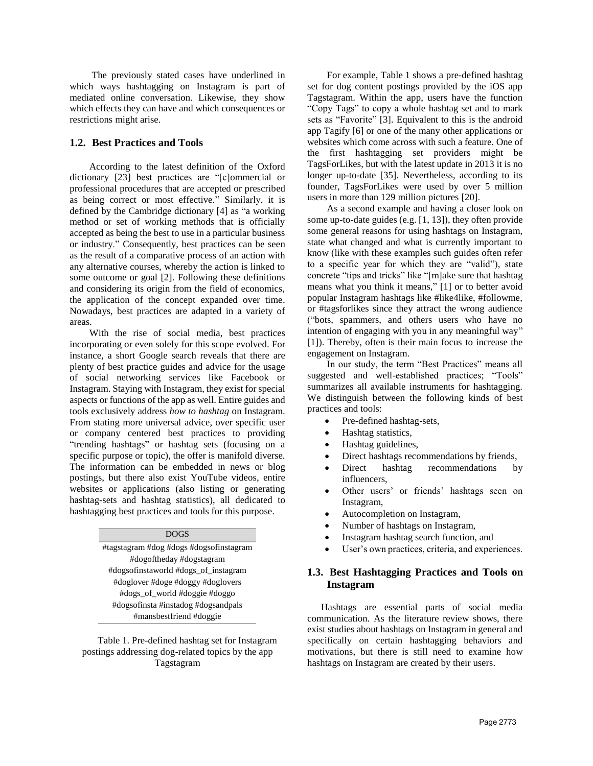The previously stated cases have underlined in which ways hashtagging on Instagram is part of mediated online conversation. Likewise, they show which effects they can have and which consequences or restrictions might arise.

## **1.2. Best Practices and Tools**

According to the latest definition of the Oxford dictionary [23] best practices are "[c]ommercial or professional procedures that are accepted or prescribed as being correct or most effective." Similarly, it is defined by the Cambridge dictionary [4] as "a working method or set of working methods that is officially accepted as being the best to use in a particular business or industry." Consequently, best practices can be seen as the result of a comparative process of an action with any alternative courses, whereby the action is linked to some outcome or goal [2]. Following these definitions and considering its origin from the field of economics, the application of the concept expanded over time. Nowadays, best practices are adapted in a variety of areas.

With the rise of social media, best practices incorporating or even solely for this scope evolved. For instance, a short Google search reveals that there are plenty of best practice guides and advice for the usage of social networking services like Facebook or Instagram. Staying with Instagram, they exist for special aspects or functions of the app as well. Entire guides and tools exclusively address *how to hashtag* on Instagram. From stating more universal advice, over specific user or company centered best practices to providing "trending hashtags" or hashtag sets (focusing on a specific purpose or topic), the offer is manifold diverse. The information can be embedded in news or blog postings, but there also exist YouTube videos, entire websites or applications (also listing or generating hashtag-sets and hashtag statistics), all dedicated to hashtagging best practices and tools for this purpose.

#### DOGS

#tagstagram #dog #dogs #dogsofinstagram #dogoftheday #dogstagram #dogsofinstaworld #dogs\_of\_instagram #doglover #doge #doggy #doglovers #dogs\_of\_world #doggie #doggo #dogsofinsta #instadog #dogsandpals #mansbestfriend #doggie

Table 1. Pre-defined hashtag set for Instagram postings addressing dog-related topics by the app Tagstagram

For example, Table 1 shows a pre-defined hashtag set for dog content postings provided by the iOS app Tagstagram. Within the app, users have the function "Copy Tags" to copy a whole hashtag set and to mark sets as "Favorite" [3]. Equivalent to this is the android app Tagify [6] or one of the many other applications or websites which come across with such a feature. One of the first hashtagging set providers might be TagsForLikes, but with the latest update in 2013 it is no longer up-to-date [35]. Nevertheless, according to its founder, TagsForLikes were used by over 5 million users in more than 129 million pictures [20].

As a second example and having a closer look on some up-to-date guides (e.g. [1, 13]), they often provide some general reasons for using hashtags on Instagram, state what changed and what is currently important to know (like with these examples such guides often refer to a specific year for which they are "valid"), state concrete "tips and tricks" like "[m]ake sure that hashtag means what you think it means," [1] or to better avoid popular Instagram hashtags like #like4like, #followme, or #tagsforlikes since they attract the wrong audience ("bots, spammers, and others users who have no intention of engaging with you in any meaningful way" [1]). Thereby, often is their main focus to increase the engagement on Instagram.

In our study, the term "Best Practices" means all suggested and well-established practices; "Tools" summarizes all available instruments for hashtagging. We distinguish between the following kinds of best practices and tools:

- Pre-defined hashtag-sets,
- Hashtag statistics,
- Hashtag guidelines,
- Direct hashtags recommendations by friends,
- Direct hashtag recommendations by influencers,
- Other users' or friends' hashtags seen on Instagram,
- Autocompletion on Instagram,
- Number of hashtags on Instagram,
- Instagram hashtag search function, and
- User's own practices, criteria, and experiences.

## **1.3. Best Hashtagging Practices and Tools on Instagram**

Hashtags are essential parts of social media communication. As the literature review shows, there exist studies about hashtags on Instagram in general and specifically on certain hashtagging behaviors and motivations, but there is still need to examine how hashtags on Instagram are created by their users.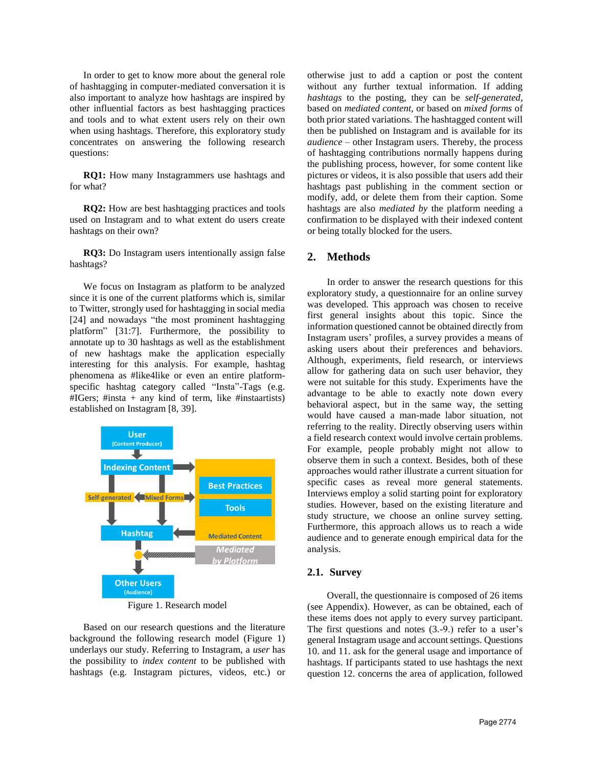In order to get to know more about the general role of hashtagging in computer-mediated conversation it is also important to analyze how hashtags are inspired by other influential factors as best hashtagging practices and tools and to what extent users rely on their own when using hashtags. Therefore, this exploratory study concentrates on answering the following research questions:

**RQ1:** How many Instagrammers use hashtags and for what?

**RQ2:** How are best hashtagging practices and tools used on Instagram and to what extent do users create hashtags on their own?

**RQ3:** Do Instagram users intentionally assign false hashtags?

We focus on Instagram as platform to be analyzed since it is one of the current platforms which is, similar to Twitter, strongly used for hashtagging in social media [24] and nowadays "the most prominent hashtagging platform" [31:7]. Furthermore, the possibility to annotate up to 30 hashtags as well as the establishment of new hashtags make the application especially interesting for this analysis. For example, hashtag phenomena as #like4like or even an entire platformspecific hashtag category called "Insta"-Tags (e.g.  $\#IGers$ ;  $\#insta + any kind of term, like \#insta$ established on Instagram [8, 39].



Figure 1. Research model

Based on our research questions and the literature background the following research model (Figure 1) underlays our study. Referring to Instagram, a *user* has the possibility to *index content* to be published with hashtags (e.g. Instagram pictures, videos, etc.) or

otherwise just to add a caption or post the content without any further textual information. If adding *hashtags* to the posting, they can be *self-generated,*  based on *mediated content,* or based on *mixed forms* of both prior stated variations. The hashtagged content will then be published on Instagram and is available for its *audience –* other Instagram users. Thereby, the process of hashtagging contributions normally happens during the publishing process, however, for some content like pictures or videos, it is also possible that users add their hashtags past publishing in the comment section or modify, add, or delete them from their caption. Some hashtags are also *mediated by* the platform needing a confirmation to be displayed with their indexed content or being totally blocked for the users.

## **2. Methods**

In order to answer the research questions for this exploratory study, a questionnaire for an online survey was developed. This approach was chosen to receive first general insights about this topic. Since the information questioned cannot be obtained directly from Instagram users' profiles, a survey provides a means of asking users about their preferences and behaviors. Although, experiments, field research, or interviews allow for gathering data on such user behavior, they were not suitable for this study. Experiments have the advantage to be able to exactly note down every behavioral aspect, but in the same way, the setting would have caused a man-made labor situation, not referring to the reality. Directly observing users within a field research context would involve certain problems. For example, people probably might not allow to observe them in such a context. Besides, both of these approaches would rather illustrate a current situation for specific cases as reveal more general statements. Interviews employ a solid starting point for exploratory studies. However, based on the existing literature and study structure, we choose an online survey setting. Furthermore, this approach allows us to reach a wide audience and to generate enough empirical data for the analysis.

#### **2.1. Survey**

Overall, the questionnaire is composed of 26 items (see Appendix). However, as can be obtained, each of these items does not apply to every survey participant. The first questions and notes (3.-9.) refer to a user's general Instagram usage and account settings. Questions 10. and 11. ask for the general usage and importance of hashtags. If participants stated to use hashtags the next question 12. concerns the area of application, followed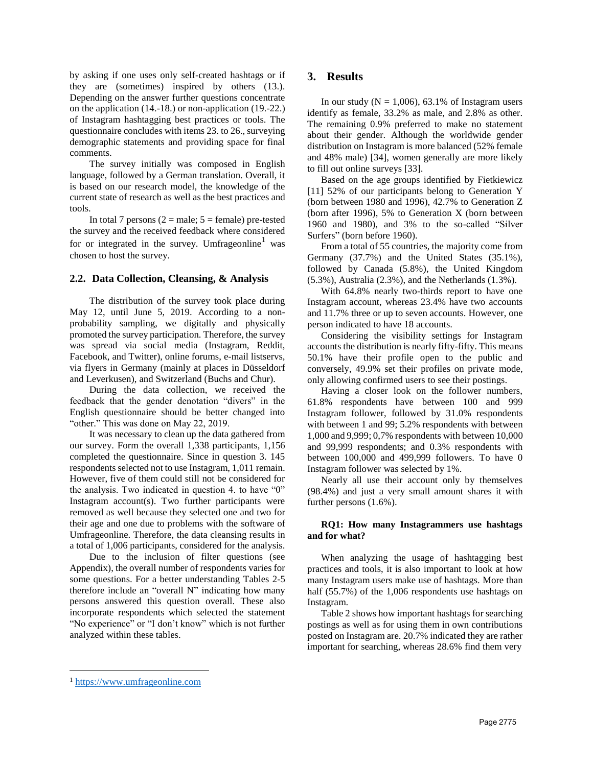by asking if one uses only self-created hashtags or if they are (sometimes) inspired by others (13.). Depending on the answer further questions concentrate on the application (14.-18.) or non-application (19.-22.) of Instagram hashtagging best practices or tools. The questionnaire concludes with items 23. to 26., surveying demographic statements and providing space for final comments.

The survey initially was composed in English language, followed by a German translation. Overall, it is based on our research model, the knowledge of the current state of research as well as the best practices and tools.

In total 7 persons  $(2 = male; 5 = female)$  pre-tested the survey and the received feedback where considered for or integrated in the survey. Umfrageonline<sup>1</sup> was chosen to host the survey.

## **2.2. Data Collection, Cleansing, & Analysis**

The distribution of the survey took place during May 12, until June 5, 2019. According to a nonprobability sampling, we digitally and physically promoted the survey participation. Therefore, the survey was spread via social media (Instagram, Reddit, Facebook, and Twitter), online forums, e-mail listservs, via flyers in Germany (mainly at places in Düsseldorf and Leverkusen), and Switzerland (Buchs and Chur).

During the data collection, we received the feedback that the gender denotation "divers" in the English questionnaire should be better changed into "other." This was done on May 22, 2019.

It was necessary to clean up the data gathered from our survey. Form the overall 1,338 participants, 1,156 completed the questionnaire. Since in question 3. 145 respondents selected not to use Instagram, 1,011 remain. However, five of them could still not be considered for the analysis. Two indicated in question 4. to have "0" Instagram account(s). Two further participants were removed as well because they selected one and two for their age and one due to problems with the software of Umfrageonline. Therefore, the data cleansing results in a total of 1,006 participants, considered for the analysis.

Due to the inclusion of filter questions (see Appendix), the overall number of respondents varies for some questions. For a better understanding Tables 2-5 therefore include an "overall N" indicating how many persons answered this question overall. These also incorporate respondents which selected the statement "No experience" or "I don't know" which is not further analyzed within these tables.

## **3. Results**

In our study ( $N = 1,006$ ), 63.1% of Instagram users identify as female, 33.2% as male, and 2.8% as other. The remaining 0.9% preferred to make no statement about their gender. Although the worldwide gender distribution on Instagram is more balanced (52% female and 48% male) [34], women generally are more likely to fill out online surveys [33].

Based on the age groups identified by Fietkiewicz [11] 52% of our participants belong to Generation Y (born between 1980 and 1996), 42.7% to Generation Z (born after 1996), 5% to Generation X (born between 1960 and 1980), and 3% to the so-called "Silver Surfers" (born before 1960).

From a total of 55 countries, the majority come from Germany (37.7%) and the United States (35.1%), followed by Canada (5.8%), the United Kingdom (5.3%), Australia (2.3%), and the Netherlands (1.3%).

With 64.8% nearly two-thirds report to have one Instagram account, whereas 23.4% have two accounts and 11.7% three or up to seven accounts. However, one person indicated to have 18 accounts.

Considering the visibility settings for Instagram accounts the distribution is nearly fifty-fifty. This means 50.1% have their profile open to the public and conversely, 49.9% set their profiles on private mode, only allowing confirmed users to see their postings.

Having a closer look on the follower numbers, 61.8% respondents have between 100 and 999 Instagram follower, followed by 31.0% respondents with between 1 and 99; 5.2% respondents with between 1,000 and 9,999; 0,7% respondents with between 10,000 and 99,999 respondents; and 0.3% respondents with between 100,000 and 499,999 followers. To have 0 Instagram follower was selected by 1%.

Nearly all use their account only by themselves (98.4%) and just a very small amount shares it with further persons (1.6%).

#### **RQ1: How many Instagrammers use hashtags and for what?**

When analyzing the usage of hashtagging best practices and tools, it is also important to look at how many Instagram users make use of hashtags. More than half (55.7%) of the 1,006 respondents use hashtags on Instagram.

Table 2 shows how important hashtags for searching postings as well as for using them in own contributions posted on Instagram are. 20.7% indicated they are rather important for searching, whereas 28.6% find them very

 $\overline{a}$ 

<sup>1</sup> [https://www.umfrageonline.com](https://www.umfrageonline.com/)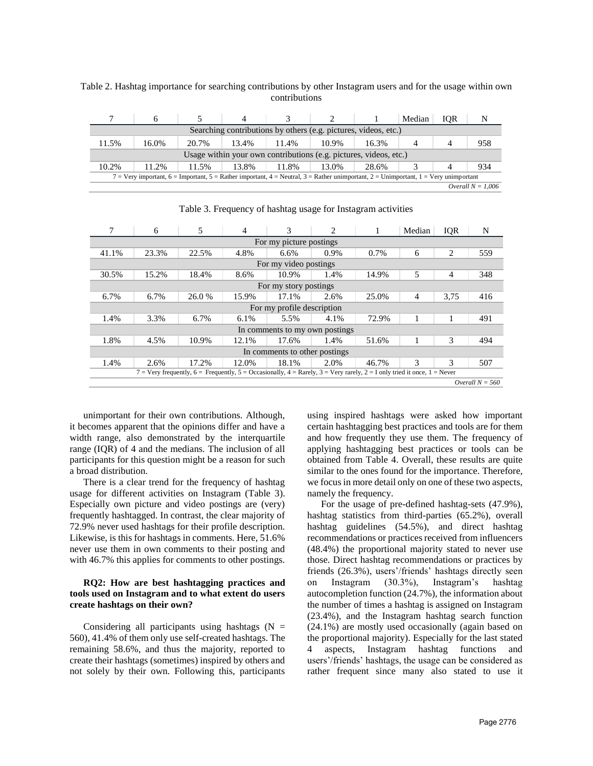|                                                                                                                                                   |                                                                   |       |       |       |       |       | Median | IOR |     |
|---------------------------------------------------------------------------------------------------------------------------------------------------|-------------------------------------------------------------------|-------|-------|-------|-------|-------|--------|-----|-----|
|                                                                                                                                                   | Searching contributions by others (e.g. pictures, videos, etc.)   |       |       |       |       |       |        |     |     |
| 11.5%                                                                                                                                             | 16.0%                                                             | 20.7% | 13.4% | 11.4% | 10.9% | 16.3% |        |     | 958 |
|                                                                                                                                                   | Usage within your own contributions (e.g. pictures, videos, etc.) |       |       |       |       |       |        |     |     |
| 10.2%                                                                                                                                             | 11.2%                                                             | 11.5% | 13.8% | 11.8% | 13.0% | 28.6% |        |     | 934 |
| $7 =$ Very important, $6 =$ Important, $5 =$ Rather important, $4 =$ Neutral, $3 =$ Rather unimportant, $2 =$ Unimportant, $1 =$ Very unimportant |                                                                   |       |       |       |       |       |        |     |     |
|                                                                                                                                                   | Overall $N = 1.006$                                               |       |       |       |       |       |        |     |     |

Table 2. Hashtag importance for searching contributions by other Instagram users and for the usage within own contributions

|                                                                                                                         | 6                 | 5      | 4     | 3                     | 2    |         | Median         | <b>IQR</b>     | N   |
|-------------------------------------------------------------------------------------------------------------------------|-------------------|--------|-------|-----------------------|------|---------|----------------|----------------|-----|
| For my picture postings                                                                                                 |                   |        |       |                       |      |         |                |                |     |
| 41.1%                                                                                                                   | 23.3%             | 22.5%  | 4.8%  | 6.6%                  | 0.9% | $0.7\%$ | 6              | $\overline{2}$ | 559 |
|                                                                                                                         |                   |        |       | For my video postings |      |         |                |                |     |
| 30.5%                                                                                                                   | 15.2%             | 18.4%  | 8.6%  | 10.9%                 | 1.4% | 14.9%   | 5              | $\overline{4}$ | 348 |
| For my story postings                                                                                                   |                   |        |       |                       |      |         |                |                |     |
| 6.7%                                                                                                                    | 6.7%              | 26.0 % | 15.9% | 17.1%                 | 2.6% | 25.0%   | $\overline{4}$ | 3,75           | 416 |
| For my profile description                                                                                              |                   |        |       |                       |      |         |                |                |     |
| 1.4%                                                                                                                    | 3.3%              | 6.7%   | 6.1%  | 5.5%                  | 4.1% | 72.9%   |                | 1              | 491 |
| In comments to my own postings                                                                                          |                   |        |       |                       |      |         |                |                |     |
| 1.8%                                                                                                                    | 4.5%              | 10.9%  | 12.1% | 17.6%                 | 1.4% | 51.6%   |                | 3              | 494 |
| In comments to other postings                                                                                           |                   |        |       |                       |      |         |                |                |     |
| 1.4%                                                                                                                    | 2.6%              | 17.2%  | 12.0% | 18.1%                 | 2.0% | 46.7%   | 3              | 3              | 507 |
| 7 = Very frequently, 6 = Frequently, 5 = Occasionally, 4 = Rarely, 3 = Very rarely, 2 = I only tried it once, 1 = Never |                   |        |       |                       |      |         |                |                |     |
|                                                                                                                         | Overall $N = 560$ |        |       |                       |      |         |                |                |     |

Table 3. Frequency of hashtag usage for Instagram activities

unimportant for their own contributions. Although, it becomes apparent that the opinions differ and have a width range, also demonstrated by the interquartile range (IQR) of 4 and the medians. The inclusion of all participants for this question might be a reason for such a broad distribution.

There is a clear trend for the frequency of hashtag usage for different activities on Instagram (Table 3). Especially own picture and video postings are (very) frequently hashtagged. In contrast, the clear majority of 72.9% never used hashtags for their profile description. Likewise, is this for hashtags in comments. Here, 51.6% never use them in own comments to their posting and with 46.7% this applies for comments to other postings.

#### **RQ2: How are best hashtagging practices and tools used on Instagram and to what extent do users create hashtags on their own?**

Considering all participants using hashtags  $(N =$ 560), 41.4% of them only use self-created hashtags. The remaining 58.6%, and thus the majority, reported to create their hashtags (sometimes) inspired by others and not solely by their own. Following this, participants using inspired hashtags were asked how important certain hashtagging best practices and tools are for them and how frequently they use them. The frequency of applying hashtagging best practices or tools can be obtained from Table 4. Overall, these results are quite similar to the ones found for the importance. Therefore, we focus in more detail only on one of these two aspects, namely the frequency.

For the usage of pre-defined hashtag-sets (47.9%), hashtag statistics from third-parties (65.2%), overall hashtag guidelines (54.5%), and direct hashtag recommendations or practices received from influencers (48.4%) the proportional majority stated to never use those. Direct hashtag recommendations or practices by friends (26.3%), users'/friends' hashtags directly seen Instagram (30.3%), Instagram's hashtag autocompletion function (24.7%), the information about the number of times a hashtag is assigned on Instagram (23.4%), and the Instagram hashtag search function (24.1%) are mostly used occasionally (again based on the proportional majority). Especially for the last stated 4 aspects, Instagram hashtag functions and users'/friends' hashtags, the usage can be considered as rather frequent since many also stated to use it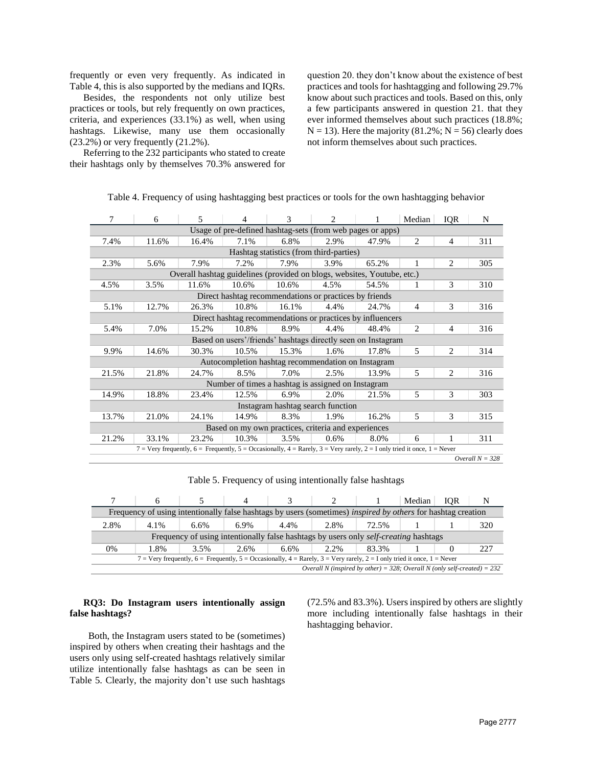frequently or even very frequently. As indicated in Table 4, this is also supported by the medians and IQRs.

Besides, the respondents not only utilize best practices or tools, but rely frequently on own practices, criteria, and experiences (33.1%) as well, when using hashtags. Likewise, many use them occasionally (23.2%) or very frequently (21.2%).

Referring to the 232 participants who stated to create their hashtags only by themselves 70.3% answered for

question 20. they don't know about the existence of best practices and tools for hashtagging and following 29.7% know about such practices and tools. Based on this, only a few participants answered in question 21. that they ever informed themselves about such practices (18.8%;  $N = 13$ ). Here the majority (81.2%;  $N = 56$ ) clearly does not inform themselves about such practices.

| 7                                                            | 6                                                                                                                       | 5     | 4     | 3                                                  | $\mathfrak{D}$ |       | Median         | <b>IQR</b>     | N   |
|--------------------------------------------------------------|-------------------------------------------------------------------------------------------------------------------------|-------|-------|----------------------------------------------------|----------------|-------|----------------|----------------|-----|
| Usage of pre-defined hashtag-sets (from web pages or apps)   |                                                                                                                         |       |       |                                                    |                |       |                |                |     |
| 7.4%                                                         | 11.6%                                                                                                                   | 16.4% | 7.1%  | 6.8%                                               | 2.9%           | 47.9% | $\overline{2}$ | $\overline{4}$ | 311 |
| Hashtag statistics (from third-parties)                      |                                                                                                                         |       |       |                                                    |                |       |                |                |     |
| 2.3%                                                         | 5.6%                                                                                                                    | 7.9%  | 7.2%  | 7.9%                                               | 3.9%           | 65.2% | 1              | 2              | 305 |
|                                                              | Overall hashtag guidelines (provided on blogs, websites, Youtube, etc.)                                                 |       |       |                                                    |                |       |                |                |     |
| 4.5%                                                         | 3.5%                                                                                                                    | 11.6% | 10.6% | 10.6%                                              | 4.5%           | 54.5% |                | 3              | 310 |
| Direct hashtag recommendations or practices by friends       |                                                                                                                         |       |       |                                                    |                |       |                |                |     |
| 5.1%                                                         | 12.7%                                                                                                                   | 26.3% | 10.8% | 16.1%                                              | 4.4%           | 24.7% | $\overline{4}$ | 3              | 316 |
| Direct hashtag recommendations or practices by influencers   |                                                                                                                         |       |       |                                                    |                |       |                |                |     |
| 5.4%                                                         | 7.0%                                                                                                                    | 15.2% | 10.8% | 8.9%                                               | 4.4%           | 48.4% | 2              | $\overline{4}$ | 316 |
| Based on users'/friends' hashtags directly seen on Instagram |                                                                                                                         |       |       |                                                    |                |       |                |                |     |
| 9.9%                                                         | 14.6%                                                                                                                   | 30.3% | 10.5% | 15.3%                                              | 1.6%           | 17.8% | 5              | 2              | 314 |
|                                                              |                                                                                                                         |       |       | Autocompletion hashtag recommendation on Instagram |                |       |                |                |     |
| 21.5%                                                        | 21.8%                                                                                                                   | 24.7% | 8.5%  | 7.0%                                               | 2.5%           | 13.9% | 5              | 2              | 316 |
|                                                              |                                                                                                                         |       |       | Number of times a hashtag is assigned on Instagram |                |       |                |                |     |
| 14.9%                                                        | 18.8%                                                                                                                   | 23.4% | 12.5% | 6.9%                                               | 2.0%           | 21.5% | 5              | 3              | 303 |
| Instagram hashtag search function                            |                                                                                                                         |       |       |                                                    |                |       |                |                |     |
| 13.7%                                                        | 21.0%                                                                                                                   | 24.1% | 14.9% | 8.3%                                               | 1.9%           | 16.2% | 5              | 3              | 315 |
| Based on my own practices, criteria and experiences          |                                                                                                                         |       |       |                                                    |                |       |                |                |     |
| 21.2%                                                        | 33.1%                                                                                                                   | 23.2% | 10.3% | 3.5%                                               | 0.6%           | 8.0%  | 6              | 1              | 311 |
|                                                              | 7 = Very frequently, 6 = Frequently, 5 = Occasionally, 4 = Rarely, 3 = Very rarely, 2 = I only tried it once, 1 = Never |       |       |                                                    |                |       |                |                |     |
|                                                              | Overall $N = 328$                                                                                                       |       |       |                                                    |                |       |                |                |     |

Table 4. Frequency of using hashtagging best practices or tools for the own hashtagging behavior

Table 5. Frequency of using intentionally false hashtags

|                                                                                                                         |      |         |      |      |      |       | Median | <b>IOR</b> |     |
|-------------------------------------------------------------------------------------------------------------------------|------|---------|------|------|------|-------|--------|------------|-----|
| Frequency of using intentionally false hashtags by users (sometimes) <i>inspired by others</i> for hashtag creation     |      |         |      |      |      |       |        |            |     |
| 2.8%                                                                                                                    | 4.1% | $6.6\%$ | 6.9% | 4.4% | 2.8% | 72.5% |        |            | 320 |
| Frequency of using intentionally false hashtags by users only self-creating hashtags                                    |      |         |      |      |      |       |        |            |     |
| 0%                                                                                                                      | 1.8% | 3.5%    | 2.6% | 6.6% | 2.2% | 83.3% |        |            | 227 |
| 7 = Very frequently, 6 = Frequently, 5 = Occasionally, 4 = Rarely, 3 = Very rarely, 2 = I only tried it once, 1 = Never |      |         |      |      |      |       |        |            |     |
| Overall N (inspired by other) = 328; Overall N (only self-created) = $232$                                              |      |         |      |      |      |       |        |            |     |

#### **RQ3: Do Instagram users intentionally assign false hashtags?**

 Both, the Instagram users stated to be (sometimes) inspired by others when creating their hashtags and the users only using self-created hashtags relatively similar utilize intentionally false hashtags as can be seen in Table 5. Clearly, the majority don't use such hashtags

(72.5% and 83.3%). Users inspired by others are slightly more including intentionally false hashtags in their hashtagging behavior.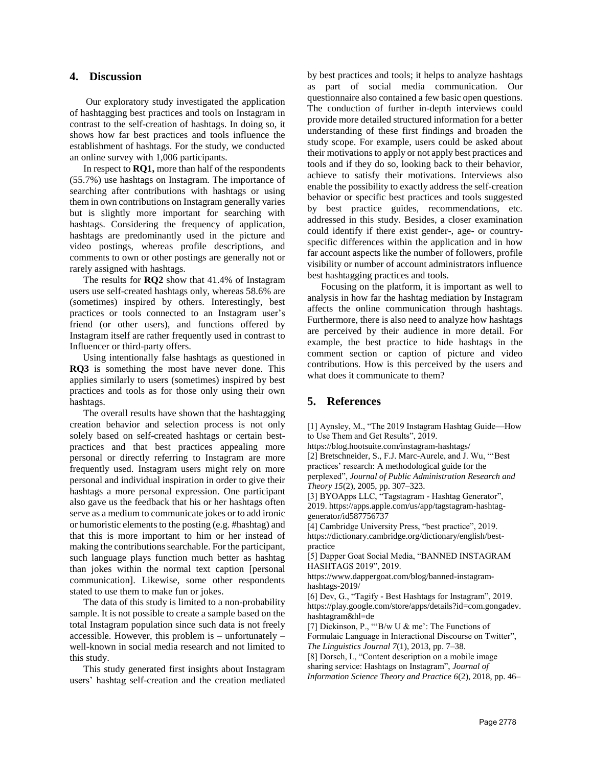### **4. Discussion**

Our exploratory study investigated the application of hashtagging best practices and tools on Instagram in contrast to the self-creation of hashtags. In doing so, it shows how far best practices and tools influence the establishment of hashtags. For the study, we conducted an online survey with 1,006 participants.

In respect to **RQ1,** more than half of the respondents (55.7%) use hashtags on Instagram. The importance of searching after contributions with hashtags or using them in own contributions on Instagram generally varies but is slightly more important for searching with hashtags. Considering the frequency of application, hashtags are predominantly used in the picture and video postings, whereas profile descriptions, and comments to own or other postings are generally not or rarely assigned with hashtags.

The results for **RQ2** show that 41.4% of Instagram users use self-created hashtags only, whereas 58.6% are (sometimes) inspired by others. Interestingly, best practices or tools connected to an Instagram user's friend (or other users), and functions offered by Instagram itself are rather frequently used in contrast to Influencer or third-party offers.

 Using intentionally false hashtags as questioned in **RQ3** is something the most have never done. This applies similarly to users (sometimes) inspired by best practices and tools as for those only using their own hashtags.

The overall results have shown that the hashtagging creation behavior and selection process is not only solely based on self-created hashtags or certain bestpractices and that best practices appealing more personal or directly referring to Instagram are more frequently used. Instagram users might rely on more personal and individual inspiration in order to give their hashtags a more personal expression. One participant also gave us the feedback that his or her hashtags often serve as a medium to communicate jokes or to add ironic or humoristic elements to the posting (e.g. #hashtag) and that this is more important to him or her instead of making the contributions searchable. For the participant, such language plays function much better as hashtag than jokes within the normal text caption [personal communication]. Likewise, some other respondents stated to use them to make fun or jokes.

The data of this study is limited to a non-probability sample. It is not possible to create a sample based on the total Instagram population since such data is not freely accessible. However, this problem is – unfortunately – well-known in social media research and not limited to this study.

This study generated first insights about Instagram users' hashtag self-creation and the creation mediated by best practices and tools; it helps to analyze hashtags as part of social media communication. Our questionnaire also contained a few basic open questions. The conduction of further in-depth interviews could provide more detailed structured information for a better understanding of these first findings and broaden the study scope. For example, users could be asked about their motivations to apply or not apply best practices and tools and if they do so, looking back to their behavior, achieve to satisfy their motivations. Interviews also enable the possibility to exactly address the self-creation behavior or specific best practices and tools suggested by best practice guides, recommendations, etc. addressed in this study. Besides, a closer examination could identify if there exist gender-, age- or countryspecific differences within the application and in how far account aspects like the number of followers, profile visibility or number of account administrators influence best hashtagging practices and tools.

Focusing on the platform, it is important as well to analysis in how far the hashtag mediation by Instagram affects the online communication through hashtags. Furthermore, there is also need to analyze how hashtags are perceived by their audience in more detail. For example, the best practice to hide hashtags in the comment section or caption of picture and video contributions. How is this perceived by the users and what does it communicate to them?

## **5. References**

[1] Aynsley, M., "The 2019 Instagram Hashtag Guide—How to Use Them and Get Results", 2019.

https://blog.hootsuite.com/instagram-hashtags/

[2] Bretschneider, S., F.J. Marc-Aurele, and J. Wu, "'Best practices' research: A methodological guide for the perplexed", *Journal of Public Administration Research and Theory 15*(2), 2005, pp. 307–323.

[3] BYOApps LLC, "Tagstagram - Hashtag Generator", 2019. https://apps.apple.com/us/app/tagstagram-hashtaggenerator/id587756737

[4] Cambridge University Press, "best practice", 2019. https://dictionary.cambridge.org/dictionary/english/bestpractice

[5] Dapper Goat Social Media, "BANNED INSTAGRAM HASHTAGS 2019", 2019.

https://www.dappergoat.com/blog/banned-instagramhashtags-2019/

[6] Dev, G., "Tagify - Best Hashtags for Instagram", 2019. https://play.google.com/store/apps/details?id=com.gongadev. hashtagram&hl=de

[7] Dickinson, P., "'B/w U & me': The Functions of Formulaic Language in Interactional Discourse on Twitter", *The Linguistics Journal 7*(1), 2013, pp. 7–38.

[8] Dorsch, I., "Content description on a mobile image sharing service: Hashtags on Instagram", *Journal of Information Science Theory and Practice 6*(2), 2018, pp. 46–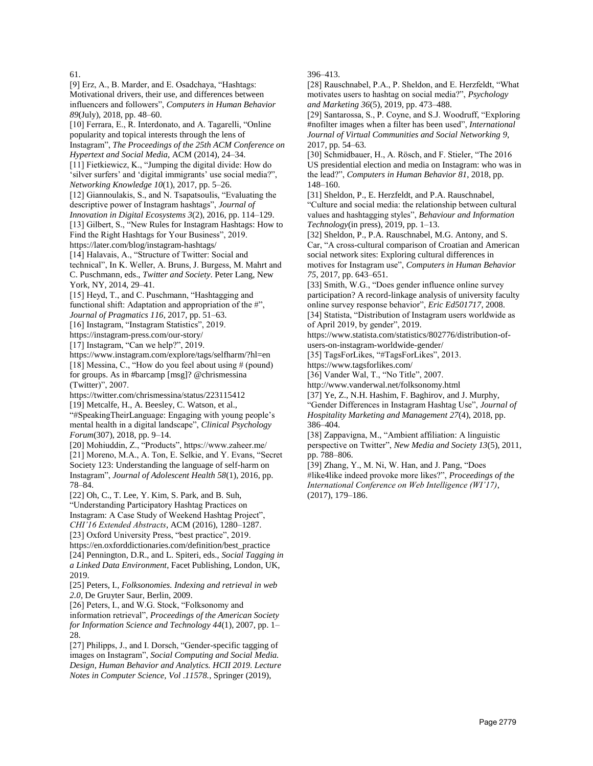#### 61.

[9] Erz, A., B. Marder, and E. Osadchaya, "Hashtags: Motivational drivers, their use, and differences between influencers and followers", *Computers in Human Behavior 89*(July), 2018, pp. 48–60. [10] Ferrara, E., R. Interdonato, and A. Tagarelli, "Online popularity and topical interests through the lens of Instagram", *The Proceedings of the 25th ACM Conference on Hypertext and Social Media*, ACM (2014), 24–34. [11] Fietkiewicz, K., "Jumping the digital divide: How do 'silver surfers' and 'digital immigrants' use social media?", *Networking Knowledge 10*(1), 2017, pp. 5–26. [12] Giannoulakis, S., and N. Tsapatsoulis, "Evaluating the descriptive power of Instagram hashtags", *Journal of Innovation in Digital Ecosystems 3*(2), 2016, pp. 114–129. [13] Gilbert, S., "New Rules for Instagram Hashtags: How to Find the Right Hashtags for Your Business", 2019. https://later.com/blog/instagram-hashtags/ [14] Halavais, A., "Structure of Twitter: Social and technical", In K. Weller, A. Bruns, J. Burgess, M. Mahrt and C. Puschmann, eds., *Twitter and Society*. Peter Lang, New York, NY, 2014, 29–41. [15] Heyd, T., and C. Puschmann, "Hashtagging and functional shift: Adaptation and appropriation of the #", *Journal of Pragmatics 116*, 2017, pp. 51–63. [16] Instagram, "Instagram Statistics", 2019. https://instagram-press.com/our-story/ [17] Instagram, "Can we help?", 2019. https://www.instagram.com/explore/tags/selfharm/?hl=en [18] Messina, C., "How do you feel about using # (pound) for groups. As in #barcamp [msg]? @chrismessina (Twitter)", 2007. https://twitter.com/chrismessina/status/223115412 [19] Metcalfe, H., A. Beesley, C. Watson, et al., "#SpeakingTheirLanguage: Engaging with young people's mental health in a digital landscape", *Clinical Psychology Forum*(307), 2018, pp. 9–14. [20] Mohiuddin, Z., "Products", https://www.zaheer.me/ [21] Moreno, M.A., A. Ton, E. Selkie, and Y. Evans, "Secret Society 123: Understanding the language of self-harm on Instagram", *Journal of Adolescent Health 58*(1), 2016, pp. 78–84. [22] Oh, C., T. Lee, Y. Kim, S. Park, and B. Suh, "Understanding Participatory Hashtag Practices on Instagram: A Case Study of Weekend Hashtag Project", *CHI'16 Extended Abstracts*, ACM (2016), 1280–1287. [23] Oxford University Press, "best practice", 2019. https://en.oxforddictionaries.com/definition/best\_practice [24] Pennington, D.R., and L. Spiteri, eds., *Social Tagging in a Linked Data Environment*, Facet Publishing, London, UK, 2019. [25] Peters, I., *Folksonomies. Indexing and retrieval in web 2.0*, De Gruyter Saur, Berlin, 2009. [26] Peters, I., and W.G. Stock, "Folksonomy and information retrieval", *Proceedings of the American Society for Information Science and Technology 44*(1), 2007, pp. 1– 28. [27] Philipps, J., and I. Dorsch, "Gender-specific tagging of

images on Instagram", *Social Computing and Social Media. Design, Human Behavior and Analytics. HCII 2019. Lecture Notes in Computer Science, Vol .11578.*, Springer (2019),

#### 396–413.

[28] Rauschnabel, P.A., P. Sheldon, and E. Herzfeldt, "What motivates users to hashtag on social media?", *Psychology and Marketing 36*(5), 2019, pp. 473–488.

[29] Santarossa, S., P. Coyne, and S.J. Woodruff, "Exploring #nofilter images when a filter has been used", *International Journal of Virtual Communities and Social Networking 9*, 2017, pp. 54–63.

[30] Schmidbauer, H., A. Rösch, and F. Stieler, "The 2016 US presidential election and media on Instagram: who was in the lead?", *Computers in Human Behavior 81*, 2018, pp. 148–160.

[31] Sheldon, P., E. Herzfeldt, and P.A. Rauschnabel, "Culture and social media: the relationship between cultural values and hashtagging styles", *Behaviour and Information Technology*(in press), 2019, pp. 1–13.

[32] Sheldon, P., P.A. Rauschnabel, M.G. Antony, and S. Car, "A cross-cultural comparison of Croatian and American social network sites: Exploring cultural differences in motives for Instagram use", *Computers in Human Behavior 75*, 2017, pp. 643–651.

[33] Smith, W.G., "Does gender influence online survey participation? A record-linkage analysis of university faculty online survey response behavior", *Eric Ed501717*, 2008. [34] Statista, "Distribution of Instagram users worldwide as

of April 2019, by gender", 2019. https://www.statista.com/statistics/802776/distribution-of-

users-on-instagram-worldwide-gender/

[35] TagsForLikes, "#TagsForLikes", 2013.

https://www.tagsforlikes.com/

[36] Vander Wal, T., "No Title", 2007.

http://www.vanderwal.net/folksonomy.html

[37] Ye, Z., N.H. Hashim, F. Baghirov, and J. Murphy, "Gender Differences in Instagram Hashtag Use", *Journal of Hospitality Marketing and Management 27*(4), 2018, pp. 386–404.

[38] Zappavigna, M., "Ambient affiliation: A linguistic perspective on Twitter", *New Media and Society 13*(5), 2011, pp. 788–806.

[39] Zhang, Y., M. Ni, W. Han, and J. Pang, "Does #like4like indeed provoke more likes?", *Proceedings of the International Conference on Web Intelligence (WI'17)*, (2017), 179–186.